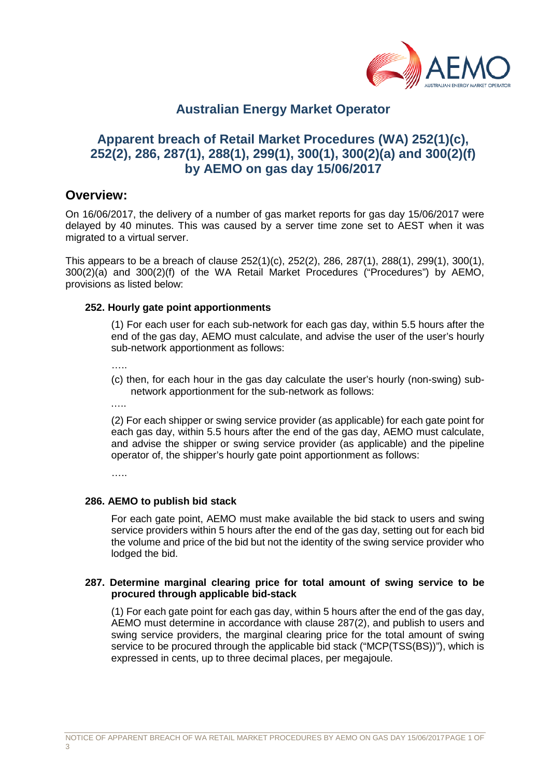

# **Australian Energy Market Operator**

# **Apparent breach of Retail Market Procedures (WA) 252(1)(c), 252(2), 286, 287(1), 288(1), 299(1), 300(1), 300(2)(a) and 300(2)(f) by AEMO on gas day 15/06/2017**

### **Overview:**

On 16/06/2017, the delivery of a number of gas market reports for gas day 15/06/2017 were delayed by 40 minutes. This was caused by a server time zone set to AEST when it was migrated to a virtual server.

This appears to be a breach of clause 252(1)(c), 252(2), 286, 287(1), 288(1), 299(1), 300(1), 300(2)(a) and 300(2)(f) of the WA Retail Market Procedures ("Procedures") by AEMO, provisions as listed below:

#### **252. Hourly gate point apportionments**

(1) For each user for each sub-network for each gas day, within 5.5 hours after the end of the gas day, AEMO must calculate, and advise the user of the user's hourly sub-network apportionment as follows:

…..

(c) then, for each hour in the gas day calculate the user's hourly (non-swing) subnetwork apportionment for the sub-network as follows:

……

(2) For each shipper or swing service provider (as applicable) for each gate point for each gas day, within 5.5 hours after the end of the gas day, AEMO must calculate, and advise the shipper or swing service provider (as applicable) and the pipeline operator of, the shipper's hourly gate point apportionment as follows:

……

#### **286. AEMO to publish bid stack**

For each gate point, AEMO must make available the bid stack to users and swing service providers within 5 hours after the end of the gas day, setting out for each bid the volume and price of the bid but not the identity of the swing service provider who lodged the bid.

#### **287. Determine marginal clearing price for total amount of swing service to be procured through applicable bid-stack**

(1) For each gate point for each gas day, within 5 hours after the end of the gas day, AEMO must determine in accordance with clause 287(2), and publish to users and swing service providers, the marginal clearing price for the total amount of swing service to be procured through the applicable bid stack ("MCP(TSS(BS))"), which is expressed in cents, up to three decimal places, per megajoule.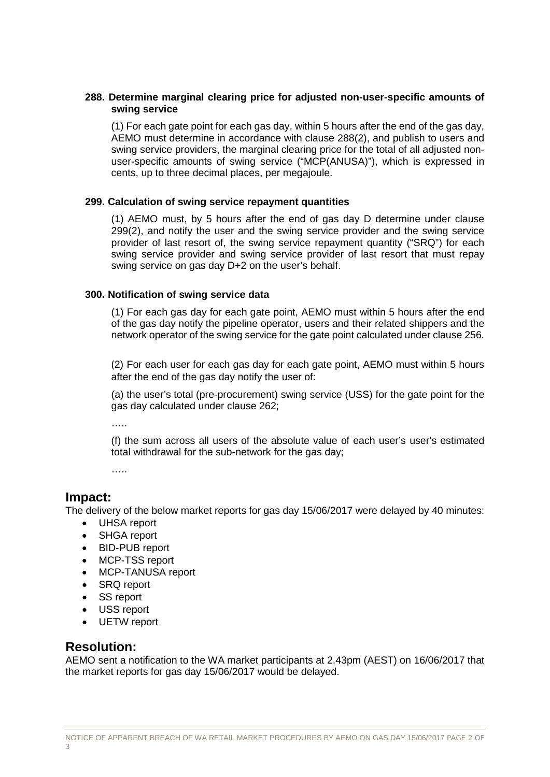#### **288. Determine marginal clearing price for adjusted non-user-specific amounts of swing service**

(1) For each gate point for each gas day, within 5 hours after the end of the gas day, AEMO must determine in accordance with clause 288(2), and publish to users and swing service providers, the marginal clearing price for the total of all adjusted nonuser-specific amounts of swing service ("MCP(ANUSA)"), which is expressed in cents, up to three decimal places, per megajoule.

#### **299. Calculation of swing service repayment quantities**

(1) AEMO must, by 5 hours after the end of gas day D determine under clause 299(2), and notify the user and the swing service provider and the swing service provider of last resort of, the swing service repayment quantity ("SRQ") for each swing service provider and swing service provider of last resort that must repay swing service on gas day D+2 on the user's behalf.

#### **300. Notification of swing service data**

(1) For each gas day for each gate point, AEMO must within 5 hours after the end of the gas day notify the pipeline operator, users and their related shippers and the network operator of the swing service for the gate point calculated under clause 256.

(2) For each user for each gas day for each gate point, AEMO must within 5 hours after the end of the gas day notify the user of:

(a) the user's total (pre-procurement) swing service (USS) for the gate point for the gas day calculated under clause 262;

…..

(f) the sum across all users of the absolute value of each user's user's estimated total withdrawal for the sub-network for the gas day;

…..

## **Impact:**

The delivery of the below market reports for gas day 15/06/2017 were delayed by 40 minutes:

- UHSA report
- SHGA report
- BID-PUB report
- MCP-TSS report
- MCP-TANUSA report
- SRQ report
- SS report
- USS report
- UETW report

### **Resolution:**

AEMO sent a notification to the WA market participants at 2.43pm (AEST) on 16/06/2017 that the market reports for gas day 15/06/2017 would be delayed.